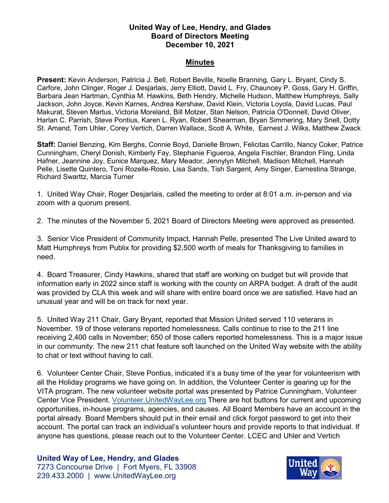## **United Way of Lee, Hendry, and Glades Board of Directors Meeting December 10, 2021**

## **Minutes**

**Present:** Kevin Anderson, Patricia J. Bell, Robert Beville, Noelle Branning, Gary L. Bryant, Cindy S. Carfore, John Clinger, Roger J. Desjarlais, Jerry Elliott, David L. Fry, Chauncey P. Goss, Gary H. Griffin, Barbara Jean Hartman, Cynthia M. Hawkins, Beth Hendry, Michelle Hudson, Matthew Humphreys, Sally Jackson, John Joyce, Kevin Karnes, Andrea Kershaw, David Klein, Victoria Loyola, David Lucas, Paul Makurat, Steven Martus, Victoria Moreland, Bill Motzer, Stan Nelson, Patricia O'Donnell, David Oliver, Harlan C. Parrish, Steve Pontius, Karen L. Ryan, Robert Shearman, Bryan Simmering, Mary Snell, Dotty St. Amand, Tom Uhler, Corey Vertich, Darren Wallace, Scott A. White, Earnest J. Wilks, Matthew Zwack

**Staff:** Daniel Benzing, Kim Berghs, Connie Boyd, Danielle Brown, Felicitas Carrillo, Nancy Coker, Patrice Cunningham, Cheryl Donish, Kimberly Fay, Stephanie Figueroa, Angela Fischler, Brandon Fling, Linda Hafner, Jeannine Joy, Eunice Marquez, Mary Meador, Jennylyn Mitchell, Madison Mitchell, Hannah Pelle, Lisette Quintero, Toni Rozelle-Rosio, Lisa Sands, Tish Sargent, Amy Singer, Earnestina Strange, Richard Swarttz, Marcia Turner

1. United Way Chair, Roger Desjarlais, called the meeting to order at 8:01 a.m. in-person and via zoom with a quorum present.

2. The minutes of the November 5, 2021 Board of Directors Meeting were approved as presented.

3. Senior Vice President of Community Impact, Hannah Pelle, presented The Live United award to Matt Humphreys from Publix for providing \$2,500 worth of meals for Thanksgiving to families in need.

4. Board Treasurer, Cindy Hawkins, shared that staff are working on budget but will provide that information early in 2022 since staff is working with the county on ARPA budget. A draft of the audit was provided by CLA this week and will share with entire board once we are satisfied. Have had an unusual year and will be on track for next year.

5. United Way 211 Chair, Gary Bryant, reported that Mission United served 110 veterans in November. 19 of those veterans reported homelessness. Calls continue to rise to the 211 line receiving 2,400 calls in November; 650 of those callers reported homelessness. This is a major issue in our community. The new 211 chat feature soft launched on the United Way website with the ability to chat or text without having to call.

6. Volunteer Center Chair, Steve Pontius, indicated it's a busy time of the year for volunteerism with all the Holiday programs we have going on. In addition, the Volunteer Center is gearing up for the VITA program. The new volunteer website portal was presented by Patrice Cunningham, Volunteer Center Vice President. [Volunteer.UnitedWayLee.org](https://volunteer.unitedwaylee.org/) There are hot buttons for current and upcoming opportunities, in-house programs, agencies, and causes. All Board Members have an account in the portal already. Board Members should put in their email and click forgot password to get into their account. The portal can track an individual's volunteer hours and provide reports to that individual. If anyone has questions, please reach out to the Volunteer Center. LCEC and Uhler and Vertich

**United Way of Lee, Hendry, and Glades** 7273 Concourse Drive | Fort Myers, FL 33908 239.433.2000 | www.UnitedWayLee.org